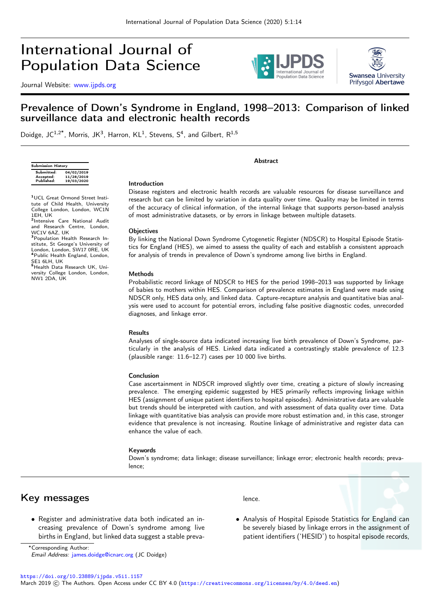# International Journal of Population Data Science

Journal Website: [www.ijpds.org](http://www.ijpds.org)





## Prevalence of Down's Syndrome in England, 1998–2013: Comparison of linked surveillance data and electronic health records

Doidge, JC<sup>1,2\*</sup>, Morris, JK<sup>3</sup>, Harron, KL<sup>1</sup>, Stevens, S<sup>4</sup>, and Gilbert, R<sup>1,5</sup>

| <b>Submission History</b> |            |  |
|---------------------------|------------|--|
| Submitted:                | 04/02/2019 |  |
| Accepted:                 | 11/28/2019 |  |
| Published:                | 19/03/2020 |  |

1EH, UK

SE1 6LH, UK

NW1 2DA, UK

<sup>1</sup>UCL Great Ormond Street Institute of Child Health, University College London, London, WC1N

<sup>2</sup>Intensive Care National Audit and Research Centre, London, WC1V 6AZ, UK<br><sup>3</sup>Population Health Research Institute, St George's University of London, London, SW17 0RE, UK London, London, London,

<sup>5</sup>Health Data Research UK, University College London, London,

#### Introduction

Disease registers and electronic health records are valuable resources for disease surveillance and research but can be limited by variation in data quality over time. Quality may be limited in terms of the accuracy of clinical information, of the internal linkage that supports person-based analysis of most administrative datasets, or by errors in linkage between multiple datasets.

Abstract

#### **Objectives**

By linking the National Down Syndrome Cytogenetic Register (NDSCR) to Hospital Episode Statistics for England (HES), we aimed to assess the quality of each and establish a consistent approach for analysis of trends in prevalence of Down's syndrome among live births in England.

#### Methods

Probabilistic record linkage of NDSCR to HES for the period 1998–2013 was supported by linkage of babies to mothers within HES. Comparison of prevalence estimates in England were made using NDSCR only, HES data only, and linked data. Capture-recapture analysis and quantitative bias analysis were used to account for potential errors, including false positive diagnostic codes, unrecorded diagnoses, and linkage error.

#### Results

Analyses of single-source data indicated increasing live birth prevalence of Down's Syndrome, particularly in the analysis of HES. Linked data indicated a contrastingly stable prevalence of 12.3 (plausible range: 11.6–12.7) cases per 10 000 live births.

#### Conclusion

Case ascertainment in NDSCR improved slightly over time, creating a picture of slowly increasing prevalence. The emerging epidemic suggested by HES primarily reflects improving linkage within HES (assignment of unique patient identifiers to hospital episodes). Administrative data are valuable but trends should be interpreted with caution, and with assessment of data quality over time. Data linkage with quantitative bias analysis can provide more robust estimation and, in this case, stronger evidence that prevalence is not increasing. Routine linkage of administrative and register data can enhance the value of each.

#### Keywords

Down's syndrome; data linkage; disease surveillance; linkage error; electronic health records; prevalence;

### Key messages

• Register and administrative data both indicated an increasing prevalence of Down's syndrome among live births in England, but linked data suggest a stable prevalence.

• Analysis of Hospital Episode Statistics for England can be severely biased by linkage errors in the assignment of patient identifiers ('HESID') to hospital episode records,

<sup>∗</sup>Corresponding Author:

Email Address: [james.doidge@icnarc.org](mailto:james.doidge@icnarc.org) (JC Doidge)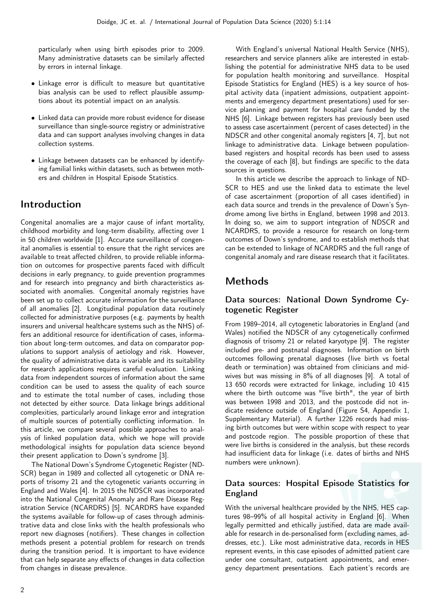particularly when using birth episodes prior to 2009. Many administrative datasets can be similarly affected by errors in internal linkage.

- Linkage error is difficult to measure but quantitative bias analysis can be used to reflect plausible assumptions about its potential impact on an analysis.
- Linked data can provide more robust evidence for disease surveillance than single-source registry or administrative data and can support analyses involving changes in data collection systems.
- Linkage between datasets can be enhanced by identifying familial links within datasets, such as between mothers and children in Hospital Episode Statistics.

## Introduction

Congenital anomalies are a major cause of infant mortality, childhood morbidity and long-term disability, affecting over 1 in 50 children worldwide [1]. Accurate surveillance of congenital anomalies is essential to ensure that the right services are available to treat affected children, to provide reliable information on outcomes for prospective parents faced with difficult decisions in early pregnancy, to guide prevention programmes and for research into pregnancy and birth characteristics associated with anomalies. Congenital anomaly registries have been set up to collect accurate information for the surveillance of all anomalies [2]. Longitudinal population data routinely collected for administrative purposes (e.g. payments by health insurers and universal healthcare systems such as the NHS) offers an additional resource for identification of cases, information about long-term outcomes, and data on comparator populations to support analysis of aetiology and risk. However, the quality of administrative data is variable and its suitability for research applications requires careful evaluation. Linking data from independent sources of information about the same condition can be used to assess the quality of each source and to estimate the total number of cases, including those not detected by either source. Data linkage brings additional complexities, particularly around linkage error and integration of multiple sources of potentially conflicting information. In this article, we compare several possible approaches to analysis of linked population data, which we hope will provide methodological insights for population data science beyond their present application to Down's syndrome [3].

The National Down's Syndrome Cytogenetic Register (ND-SCR) began in 1989 and collected all cytogenetic or DNA reports of trisomy 21 and the cytogenetic variants occurring in England and Wales [4]. In 2015 the NDSCR was incorporated into the National Congenital Anomaly and Rare Disease Registration Service (NCARDRS) [5]. NCARDRS have expanded the systems available for follow-up of cases through administrative data and close links with the health professionals who report new diagnoses (notifiers). These changes in collection methods present a potential problem for research on trends during the transition period. It is important to have evidence that can help separate any effects of changes in data collection from changes in disease prevalence.

With England's universal National Health Service (NHS), researchers and service planners alike are interested in establishing the potential for administrative NHS data to be used for population health monitoring and surveillance. Hospital Episode Statistics for England (HES) is a key source of hospital activity data (inpatient admissions, outpatient appointments and emergency department presentations) used for service planning and payment for hospital care funded by the NHS [6]. Linkage between registers has previously been used to assess case ascertainment (percent of cases detected) in the NDSCR and other congenital anomaly registers [4, 7], but not linkage to administrative data. Linkage between populationbased registers and hospital records has been used to assess the coverage of each [8], but findings are specific to the data sources in questions.

In this article we describe the approach to linkage of ND-SCR to HES and use the linked data to estimate the level of case ascertainment (proportion of all cases identified) in each data source and trends in the prevalence of Down's Syndrome among live births in England, between 1998 and 2013. In doing so, we aim to support integration of NDSCR and NCARDRS, to provide a resource for research on long-term outcomes of Down's syndrome, and to establish methods that can be extended to linkage of NCARDRS and the full range of congenital anomaly and rare disease research that it facilitates.

## Methods

### Data sources: National Down Syndrome Cytogenetic Register

From 1989–2014, all cytogenetic laboratories in England (and Wales) notified the NDSCR of any cytogenetically confirmed diagnosis of trisomy 21 or related karyotype [9]. The register included pre- and postnatal diagnoses. Information on birth outcomes following prenatal diagnoses (live birth vs foetal death or termination) was obtained from clinicians and midwives but was missing in 8% of all diagnoses [9]. A total of 13 650 records were extracted for linkage, including 10 415 where the birth outcome was "live birth", the year of birth was between 1998 and 2013, and the postcode did not indicate residence outside of England (Figure S4, Appendix 1, Supplementary Material). A further 1226 records had missing birth outcomes but were within scope with respect to year and postcode region. The possible proportion of these that were live births is considered in the analysis, but these records had insufficient data for linkage (i.e. dates of births and NHS numbers were unknown).

### Data sources: Hospital Episode Statistics for England

With the universal healthcare provided by the NHS, HES captures 98–99% of all hospital activity in England [6]. When legally permitted and ethically justified, data are made available for research in de-personalised form (excluding names, addresses, etc.). Like most administrative data, records in HES represent events, in this case episodes of admitted patient care under one consultant, outpatient appointments, and emergency department presentations. Each patient's records are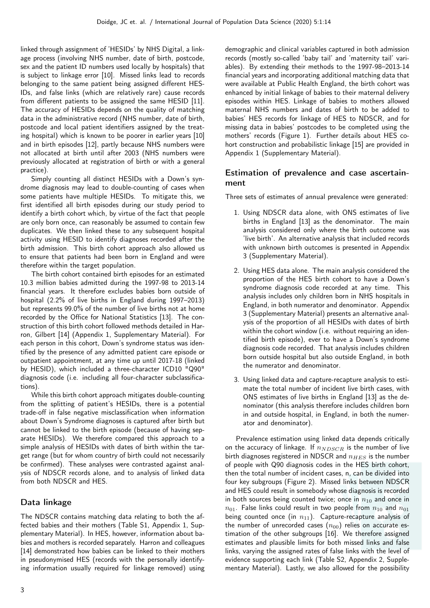linked through assignment of 'HESIDs' by NHS Digital, a linkage process (involving NHS number, date of birth, postcode, sex and the patient ID numbers used locally by hospitals) that is subject to linkage error [10]. Missed links lead to records belonging to the same patient being assigned different HES-IDs, and false links (which are relatively rare) cause records from different patients to be assigned the same HESID [11]. The accuracy of HESIDs depends on the quality of matching data in the administrative record (NHS number, date of birth, postcode and local patient identifiers assigned by the treating hospital) which is known to be poorer in earlier years [10] and in birth episodes [12], partly because NHS numbers were not allocated at birth until after 2003 (NHS numbers were previously allocated at registration of birth or with a general practice).

Simply counting all distinct HESIDs with a Down's syndrome diagnosis may lead to double-counting of cases when some patients have multiple HESIDs. To mitigate this, we first identified all birth episodes during our study period to identify a birth cohort which, by virtue of the fact that people are only born once, can reasonably be assumed to contain few duplicates. We then linked these to any subsequent hospital activity using HESID to identify diagnoses recorded after the birth admission. This birth cohort approach also allowed us to ensure that patients had been born in England and were therefore within the target population.

The birth cohort contained birth episodes for an estimated 10.3 million babies admitted during the 1997-98 to 2013-14 financial years. It therefore excludes babies born outside of hospital (2.2% of live births in England during 1997–2013) but represents 99.0% of the number of live births not at home recorded by the Office for National Statistics [13]. The construction of this birth cohort followed methods detailed in Harron, Gilbert [14] (Appendix 1, Supplementary Material). For each person in this cohort, Down's syndrome status was identified by the presence of any admitted patient care episode or outpatient appointment, at any time up until 2017-18 (linked by HESID), which included a three-character ICD10 "Q90" diagnosis code (i.e. including all four-character subclassifications).

While this birth cohort approach mitigates double-counting from the splitting of patient's HESIDs, there is a potential trade-off in false negative misclassification when information about Down's Syndrome diagnoses is captured after birth but cannot be linked to the birth episode (because of having separate HESIDs). We therefore compared this approach to a simple analysis of HESIDs with dates of birth within the target range (but for whom country of birth could not necessarily be confirmed). These analyses were contrasted against analysis of NDSCR records alone, and to analysis of linked data from both NDSCR and HES.

### Data linkage

The NDSCR contains matching data relating to both the affected babies and their mothers (Table S1, Appendix 1, Supplementary Material). In HES, however, information about babies and mothers is recorded separately. Harron and colleagues [14] demonstrated how babies can be linked to their mothers in pseudonymised HES (records with the personally identifying information usually required for linkage removed) using demographic and clinical variables captured in both admission records (mostly so-called 'baby tail' and 'maternity tail' variables). By extending their methods to the 1997-98–2013-14 financial years and incorporating additional matching data that were available at Public Health England, the birth cohort was enhanced by initial linkage of babies to their maternal delivery episodes within HES. Linkage of babies to mothers allowed maternal NHS numbers and dates of birth to be added to babies' HES records for linkage of HES to NDSCR, and for missing data in babies' postcodes to be completed using the mothers' records (Figure 1). Further details about HES cohort construction and probabilistic linkage [15] are provided in Appendix 1 (Supplementary Material).

### Estimation of prevalence and case ascertainment

Three sets of estimates of annual prevalence were generated:

- 1. Using NDSCR data alone, with ONS estimates of live births in England [13] as the denominator. The main analysis considered only where the birth outcome was 'live birth'. An alternative analysis that included records with unknown birth outcomes is presented in Appendix 3 (Supplementary Material).
- 2. Using HES data alone. The main analysis considered the proportion of the HES birth cohort to have a Down's syndrome diagnosis code recorded at any time. This analysis includes only children born in NHS hospitals in England, in both numerator and denominator. Appendix 3 (Supplementary Material) presents an alternative analysis of the proportion of all HESIDs with dates of birth within the cohort window (i.e. without requiring an identified birth episode), ever to have a Down's syndrome diagnosis code recorded. That analysis includes children born outside hospital but also outside England, in both the numerator and denominator.
- 3. Using linked data and capture-recapture analysis to estimate the total number of incident live birth cases, with ONS estimates of live births in England [13] as the denominator (this analysis therefore includes children born in and outside hospital, in England, in both the numerator and denominator).

Prevalence estimation using linked data depends critically on the accuracy of linkage. If  $n_{NDSCR}$  is the number of live birth diagnoses registered in NDSCR and  $n_{HES}$  is the number of people with Q90 diagnosis codes in the HES birth cohort, then the total number of incident cases, n, can be divided into four key subgroups (Figure 2). Missed links between NDSCR and HES could result in somebody whose diagnosis is recorded in both sources being counted twice; once in  $n_{10}$  and once in  $n_{01}$ . False links could result in two people from  $n_{10}$  and  $n_{01}$ being counted once (in  $n_{11}$ ). Capture-recapture analysis of the number of unrecorded cases  $(n_{00})$  relies on accurate estimation of the other subgroups [16]. We therefore assigned estimates and plausible limits for both missed links and false links, varying the assigned rates of false links with the level of evidence supporting each link (Table S2, Appendix 2, Supplementary Material). Lastly, we also allowed for the possibility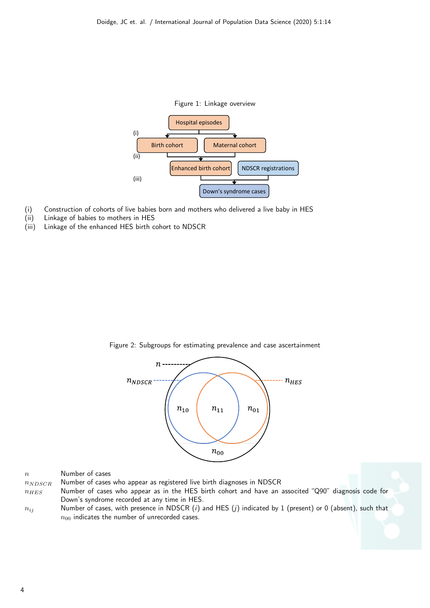

- (i) Construction of cohorts of live babies born and mothers who delivered a live baby in HES
- (ii) Linkage of babies to mothers in HES
- (iii) Linkage of the enhanced HES birth cohort to NDSCR



Figure 2: Subgroups for estimating prevalence and case ascertainment

| n | Number of cases |  |
|---|-----------------|--|
|   |                 |  |

 $n<sub>NDSCR</sub>$  Number of cases who appear as registered live birth diagnoses in NDSCR

- $n_{HES}$  Number of cases who appear as in the HES birth cohort and have an associted "Q90" diagnosis code for Down's syndrome recorded at any time in HES.
- $n_{ij}$  Number of cases, with presence in NDSCR (i) and HES (j) indicated by 1 (present) or 0 (absent), such that  $n_{00}$  indicates the number of unrecorded cases.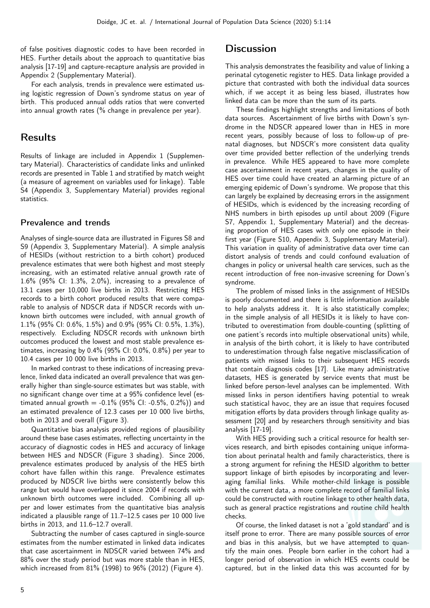of false positives diagnostic codes to have been recorded in HES. Further details about the approach to quantitative bias analysis [17-19] and capture-recapture analysis are provided in Appendix 2 (Supplementary Material).

For each analysis, trends in prevalence were estimated using logistic regression of Down's syndrome status on year of birth. This produced annual odds ratios that were converted into annual growth rates (% change in prevalence per year).

### Results

Results of linkage are included in Appendix 1 (Supplementary Material). Characteristics of candidate links and unlinked records are presented in Table 1 and stratified by match weight (a measure of agreement on variables used for linkage). Table S4 (Appendix 3, Supplementary Material) provides regional statistics.

#### Prevalence and trends

Analyses of single-source data are illustrated in Figures S8 and S9 (Appendix 3, Supplementary Material). A simple analysis of HESIDs (without restriction to a birth cohort) produced prevalence estimates that were both highest and most steeply increasing, with an estimated relative annual growth rate of 1.6% (95% CI: 1.3%, 2.0%), increasing to a prevalence of 13.1 cases per 10,000 live births in 2013. Restricting HES records to a birth cohort produced results that were comparable to analysis of NDSCR data if NDSCR records with unknown birth outcomes were included, with annual growth of 1.1% (95% CI: 0.6%, 1.5%) and 0.9% (95% CI: 0.5%, 1.3%), respectively. Excluding NDSCR records with unknown birth outcomes produced the lowest and most stable prevalence estimates, increasing by 0.4% (95% CI: 0.0%, 0.8%) per year to 10.4 cases per 10 000 live births in 2013.

In marked contrast to these indications of increasing prevalence, linked data indicated an overall prevalence that was generally higher than single-source estimates but was stable, with no significant change over time at a 95% confidence level (estimated annual growth  $= -0.1\%$  (95% CI:  $-0.5\%$ , 0.2%)) and an estimated prevalence of 12.3 cases per 10 000 live births, both in 2013 and overall (Figure 3).

Quantitative bias analysis provided regions of plausibility around these base cases estimates, reflecting uncertainty in the accuracy of diagnostic codes in HES and accuracy of linkage between HES and NDSCR (Figure 3 shading). Since 2006, prevalence estimates produced by analysis of the HES birth cohort have fallen within this range. Prevalence estimates produced by NDSCR live births were consistently below this range but would have overlapped it since 2004 if records with unknown birth outcomes were included. Combining all upper and lower estimates from the quantitative bias analysis indicated a plausible range of 11.7–12.5 cases per 10 000 live births in 2013, and 11.6–12.7 overall.

Subtracting the number of cases captured in single-source estimates from the number estimated in linked data indicates that case ascertainment in NDSCR varied between 74% and 88% over the study period but was more stable than in HES, which increased from 81% (1998) to 96% (2012) (Figure 4).

### **Discussion**

This analysis demonstrates the feasibility and value of linking a perinatal cytogenetic register to HES. Data linkage provided a picture that contrasted with both the individual data sources which, if we accept it as being less biased, illustrates how linked data can be more than the sum of its parts.

These findings highlight strengths and limitations of both data sources. Ascertainment of live births with Down's syndrome in the NDSCR appeared lower than in HES in more recent years, possibly because of loss to follow-up of prenatal diagnoses, but NDSCR's more consistent data quality over time provided better reflection of the underlying trends in prevalence. While HES appeared to have more complete case ascertainment in recent years, changes in the quality of HES over time could have created an alarming picture of an emerging epidemic of Down's syndrome. We propose that this can largely be explained by decreasing errors in the assignment of HESIDs, which is evidenced by the increasing recording of NHS numbers in birth episodes up until about 2009 (Figure S7, Appendix 1, Supplementary Material) and the decreasing proportion of HES cases with only one episode in their first year (Figure S10, Appendix 3, Supplementary Material). This variation in quality of administrative data over time can distort analysis of trends and could confound evaluation of changes in policy or universal health care services, such as the recent introduction of free non-invasive screening for Down's syndrome.

The problem of missed links in the assignment of HESIDs is poorly documented and there is little information available to help analysts address it. It is also statistically complex; in the simple analysis of all HESIDs it is likely to have contributed to overestimation from double-counting (splitting of one patient's records into multiple observational units) while, in analysis of the birth cohort, it is likely to have contributed to underestimation through false negative misclassification of patients with missed links to their subsequent HES records that contain diagnosis codes [17]. Like many administrative datasets, HES is generated by service events that must be linked before person-level analyses can be implemented. With missed links in person identifiers having potential to wreak such statistical havoc, they are an issue that requires focused mitigation efforts by data providers through linkage quality assessment [20] and by researchers through sensitivity and bias analysis [17-19].

With HES providing such a critical resource for health services research, and birth episodes containing unique information about perinatal health and family characteristics, there is a strong argument for refining the HESID algorithm to better support linkage of birth episodes by incorporating and leveraging familial links. While mother-child linkage is possible with the current data, a more complete record of familial links could be constructed with routine linkage to other health data, such as general practice registrations and routine child health checks.

Of course, the linked dataset is not a 'gold standard' and is itself prone to error. There are many possible sources of error and bias in this analysis, but we have attempted to quantify the main ones. People born earlier in the cohort had a longer period of observation in which HES events could be captured, but in the linked data this was accounted for by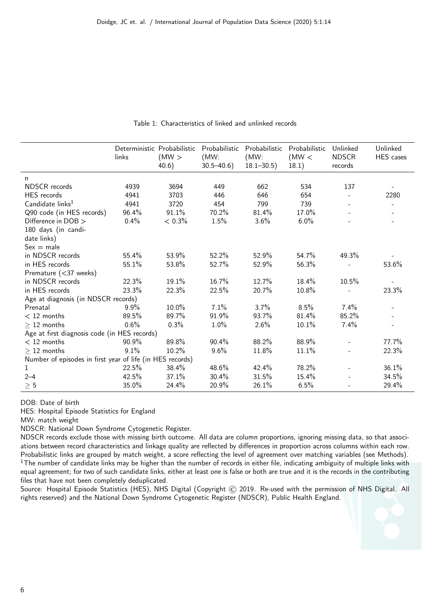|                                                           | Deterministic Probabilistic<br>links | (MW)<br>40.6) | Probabilistic<br>(MW)<br>$30.5 - 40.6$ | Probabilistic<br>(MW)<br>$18.1 - 30.5$ | Probabilistic<br>(MW <<br>18.1) | Unlinked<br><b>NDSCR</b><br>records | Unlinked<br>HES cases    |
|-----------------------------------------------------------|--------------------------------------|---------------|----------------------------------------|----------------------------------------|---------------------------------|-------------------------------------|--------------------------|
|                                                           |                                      |               |                                        |                                        |                                 |                                     |                          |
| n<br>NDSCR records                                        | 4939                                 | 3694          | 449                                    | 662                                    | 534                             | 137                                 |                          |
| HES records                                               | 4941                                 | 3703          | 446                                    | 646                                    | 654                             | $\overline{\phantom{a}}$            | 2280                     |
| Candidate links <sup>1</sup>                              | 4941                                 | 3720          | 454                                    | 799                                    | 739                             | $\overline{\phantom{a}}$            |                          |
| Q90 code (in HES records)                                 | 96.4%                                | 91.1%         | 70.2%                                  | 81.4%                                  | 17.0%                           |                                     |                          |
| Difference in DOB >                                       | 0.4%                                 | $< 0.3\%$     | 1.5%                                   | 3.6%                                   | 6.0%                            |                                     |                          |
|                                                           |                                      |               |                                        |                                        |                                 |                                     |                          |
| 180 days (in candi-                                       |                                      |               |                                        |                                        |                                 |                                     |                          |
| date links)                                               |                                      |               |                                        |                                        |                                 |                                     |                          |
| $Sex = male$                                              |                                      |               |                                        |                                        |                                 |                                     |                          |
| in NDSCR records                                          | 55.4%                                | 53.9%         | 52.2%                                  | 52.9%                                  | 54.7%                           | 49.3%                               |                          |
| in HES records                                            | 55.1%                                | 53.8%         | 52.7%                                  | 52.9%                                  | 56.3%                           |                                     | 53.6%                    |
| Premature (<37 weeks)                                     |                                      |               |                                        |                                        |                                 |                                     |                          |
| in NDSCR records                                          | 22.3%                                | 19.1%         | 16.7%                                  | 12.7%                                  | 18.4%                           | 10.5%                               |                          |
| in HES records                                            | 23.3%                                | 22.3%         | 22.5%                                  | 20.7%                                  | 10.8%                           |                                     | 23.3%                    |
| Age at diagnosis (in NDSCR records)                       |                                      |               |                                        |                                        |                                 |                                     |                          |
| Prenatal                                                  | 9.9%                                 | 10.0%         | 7.1%                                   | 3.7%                                   | 8.5%                            | $7.4\%$                             |                          |
| $<$ 12 months                                             | 89.5%                                | 89.7%         | 91.9%                                  | 93.7%                                  | 81.4%                           | 85.2%                               | $\overline{\phantom{a}}$ |
| $>12$ months                                              | 0.6%                                 | 0.3%          | 1.0%                                   | 2.6%                                   | 10.1%                           | 7.4%                                |                          |
| Age at first diagnosis code (in HES records)              |                                      |               |                                        |                                        |                                 |                                     |                          |
| $<$ 12 months                                             | 90.9%                                | 89.8%         | 90.4%                                  | 88.2%                                  | 88.9%                           |                                     | 77.7%                    |
| $\geq$ 12 months                                          | 9.1%                                 | 10.2%         | 9.6%                                   | 11.8%                                  | 11.1%                           |                                     | 22.3%                    |
| Number of episodes in first year of life (in HES records) |                                      |               |                                        |                                        |                                 |                                     |                          |
| 1                                                         | 22.5%                                | 38.4%         | 48.6%                                  | 42.4%                                  | 78.2%                           | $\overline{\phantom{0}}$            | 36.1%                    |
| $2 - 4$                                                   | 42.5%                                | 37.1%         | 30.4%                                  | 31.5%                                  | 15.4%                           |                                     | 34.5%                    |
| $\geq 5$                                                  | 35.0%                                | 24.4%         | 20.9%                                  | 26.1%                                  | 6.5%                            |                                     | 29.4%                    |

Table 1: Characteristics of linked and unlinked records

DOB: Date of birth

HES: Hospital Episode Statistics for England

MW: match weight

NDSCR: National Down Syndrome Cytogenetic Register.

NDSCR records exclude those with missing birth outcome. All data are column proportions, ignoring missing data, so that associations between record characteristics and linkage quality are reflected by differences in proportion across columns within each row. Probabilistic links are grouped by match weight, a score reflecting the level of agreement over matching variables (see Methods).  $1$ The number of candidate links may be higher than the number of records in either file, indicating ambiguity of multiple links with equal agreement; for two of such candidate links, either at least one is false or both are true and it is the records in the contributing files that have not been completely deduplicated.

Source: Hospital Episode Statistics (HES), NHS Digital (Copyright (C) 2019. Re-used with the permission of NHS Digital. All rights reserved) and the National Down Syndrome Cytogenetic Register (NDSCR), Public Health England.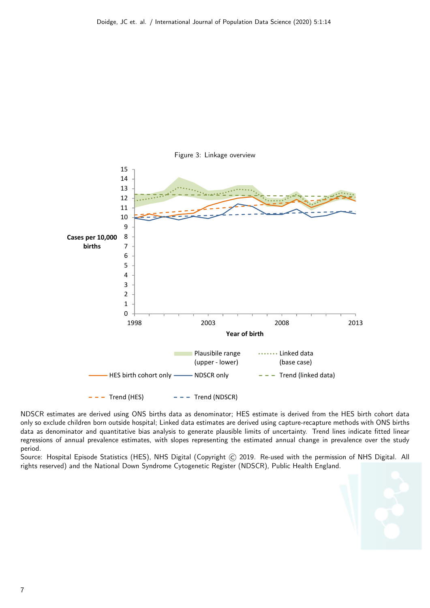

Figure 3: Linkage overview

NDSCR estimates are derived using ONS births data as denominator; HES estimate is derived from the HES birth cohort data only so exclude children born outside hospital; Linked data estimates are derived using capture-recapture methods with ONS births data as denominator and quantitative bias analysis to generate plausible limits of uncertainty. Trend lines indicate fitted linear regressions of annual prevalence estimates, with slopes representing the estimated annual change in prevalence over the study period.

Source: Hospital Episode Statistics (HES), NHS Digital (Copyright C) 2019. Re-used with the permission of NHS Digital. All rights reserved) and the National Down Syndrome Cytogenetic Register (NDSCR), Public Health England.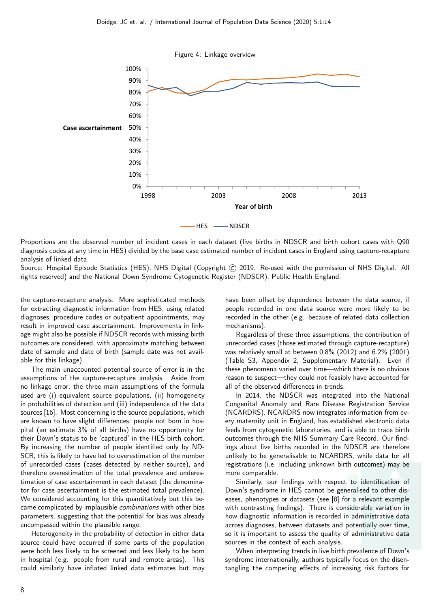

Proportions are the observed number of incident cases in each dataset (live births in NDSCR and birth cohort cases with Q90 diagnosis codes at any time in HES) divided by the base case estimated number of incident cases in England using capture-recapture analysis of linked data.

Source: Hospital Episode Statistics (HES), NHS Digital (Copyright C) 2019. Re-used with the permission of NHS Digital. All rights reserved) and the National Down Syndrome Cytogenetic Register (NDSCR), Public Health England.

the capture-recapture analysis. More sophisticated methods for extracting diagnostic information from HES, using related diagnoses, procedure codes or outpatient appointments, may result in improved case ascertainment. Improvements in linkage might also be possible if NDSCR records with missing birth outcomes are considered, with approximate matching between date of sample and date of birth (sample date was not available for this linkage).

The main unaccounted potential source of error is in the assumptions of the capture-recapture analysis. Aside from no linkage error, the three main assumptions of the formula used are (i) equivalent source populations, (ii) homogeneity in probabilities of detection and (iii) independence of the data sources [16]. Most concerning is the source populations, which are known to have slight differences; people not born in hospital (an estimate 3% of all births) have no opportunity for their Down's status to be 'captured' in the HES birth cohort. By increasing the number of people identified only by ND-SCR, this is likely to have led to overestimation of the number of unrecorded cases (cases detected by neither source), and therefore overestimation of the total prevalence and underestimation of case ascertainment in each dataset (the denominator for case ascertainment is the estimated total prevalence). We considered accounting for this quantitatively but this became complicated by implausible combinations with other bias parameters, suggesting that the potential for bias was already encompassed within the plausible range.

Heterogeneity in the probability of detection in either data source could have occurred if some parts of the population were both less likely to be screened and less likely to be born in hospital (e.g. people from rural and remote areas). This could similarly have inflated linked data estimates but may have been offset by dependence between the data source, if people recorded in one data source were more likely to be recorded in the other (e.g. because of related data collection mechanisms).

Regardless of these three assumptions, the contribution of unrecorded cases (those estimated through capture-recapture) was relatively small at between 0.8% (2012) and 6.2% (2001) (Table S3, Appendix 2, Supplementary Material). Even if these phenomena varied over time—which there is no obvious reason to suspect—they could not feasibly have accounted for all of the observed differences in trends.

In 2014, the NDSCR was integrated into the National Congenital Anomaly and Rare Disease Registration Service (NCARDRS). NCARDRS now integrates information from every maternity unit in England, has established electronic data feeds from cytogenetic laboratories, and is able to trace birth outcomes through the NHS Summary Care Record. Our findings about live births recorded in the NDSCR are therefore unlikely to be generalisable to NCARDRS, while data for all registrations (i.e. including unknown birth outcomes) may be more comparable.

Similarly, our findings with respect to identification of Down's syndrome in HES cannot be generalised to other diseases, phenotypes or datasets (see [8] for a relevant example with contrasting findings). There is considerable variation in how diagnostic information is recorded in administrative data across diagnoses, between datasets and potentially over time, so it is important to assess the quality of administrative data sources in the context of each analysis.

When interpreting trends in live birth prevalence of Down's syndrome internationally, authors typically focus on the disentangling the competing effects of increasing risk factors for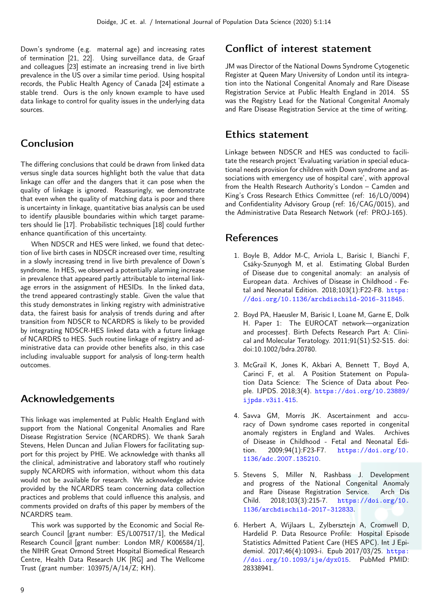Down's syndrome (e.g. maternal age) and increasing rates of termination [21, 22]. Using surveillance data, de Graaf and colleagues [23] estimate an increasing trend in live birth prevalence in the US over a similar time period. Using hospital records, the Public Health Agency of Canada [24] estimate a stable trend. Ours is the only known example to have used data linkage to control for quality issues in the underlying data sources.

## Conclusion

The differing conclusions that could be drawn from linked data versus single data sources highlight both the value that data linkage can offer and the dangers that it can pose when the quality of linkage is ignored. Reassuringly, we demonstrate that even when the quality of matching data is poor and there is uncertainty in linkage, quantitative bias analysis can be used to identify plausible boundaries within which target parameters should lie [17]. Probabilistic techniques [18] could further enhance quantification of this uncertainty.

When NDSCR and HES were linked, we found that detection of live birth cases in NDSCR increased over time, resulting in a slowly increasing trend in live birth prevalence of Down's syndrome. In HES, we observed a potentially alarming increase in prevalence that appeared partly attributable to internal linkage errors in the assignment of HESIDs. In the linked data, the trend appeared contrastingly stable. Given the value that this study demonstrates in linking registry with administrative data, the fairest basis for analysis of trends during and after transition from NDSCR to NCARDRS is likely to be provided by integrating NDSCR-HES linked data with a future linkage of NCARDRS to HES. Such routine linkage of registry and administrative data can provide other benefits also, in this case including invaluable support for analysis of long-term health outcomes.

## Acknowledgements

This linkage was implemented at Public Health England with support from the National Congenital Anomalies and Rare Disease Registration Service (NCARDRS). We thank Sarah Stevens, Helen Duncan and Julian Flowers for facilitating support for this project by PHE. We acknowledge with thanks all the clinical, administrative and laboratory staff who routinely supply NCARDRS with information, without whom this data would not be available for research. We acknowledge advice provided by the NCARDRS team concerning data collection practices and problems that could influence this analysis, and comments provided on drafts of this paper by members of the NCARDRS team.

This work was supported by the Economic and Social Research Council [grant number: ES/L007517/1], the Medical Research Council [grant number: London MR/ K006584/1], the NIHR Great Ormond Street Hospital Biomedical Research Centre, Health Data Research UK [RG] and The Wellcome Trust (grant number: 103975/A/14/Z; KH).

## Conflict of interest statement

JM was Director of the National Downs Syndrome Cytogenetic Register at Queen Mary University of London until its integration into the National Congenital Anomaly and Rare Disease Registration Service at Public Health England in 2014. SS was the Registry Lead for the National Congenital Anomaly and Rare Disease Registration Service at the time of writing.

## Ethics statement

Linkage between NDSCR and HES was conducted to facilitate the research project 'Evaluating variation in special educational needs provision for children with Down syndrome and associations with emergency use of hospital care', with approval from the Health Research Authority's London – Camden and King's Cross Research Ethics Committee (ref: 16/LO/0094) and Confidentiality Advisory Group (ref: 16/CAG/0015), and the Administrative Data Research Network (ref: PROJ-165).

## References

- 1. Boyle B, Addor M-C, Arriola L, Barisic I, Bianchi F, Csáky-Szunyogh M, et al. Estimating Global Burden of Disease due to congenital anomaly: an analysis of European data. Archives of Disease in Childhood - Fetal and Neonatal Edition. 2018;103(1):F22-F8. [https:](https://doi.org/10.1136/archdischild-2016-311845) [//doi.org/10.1136/archdischild-2016-311845](https://doi.org/10.1136/archdischild-2016-311845).
- 2. Boyd PA, Haeusler M, Barisic I, Loane M, Garne E, Dolk H. Paper 1: The EUROCAT network—organization and processes†. Birth Defects Research Part A: Clinical and Molecular Teratology. 2011;91(S1):S2-S15. doi: doi:10.1002/bdra.20780.
- 3. McGrail K, Jones K, Akbari A, Bennett T, Boyd A, Carinci F, et al. A Position Statement on Population Data Science: The Science of Data about People. IJPDS. 2018;3(4). [https://doi.org/10.23889/](https://doi.org/10.23889/ijpds.v3i1.415) [ijpds.v3i1.415](https://doi.org/10.23889/ijpds.v3i1.415).
- 4. Savva GM, Morris JK. Ascertainment and accuracy of Down syndrome cases reported in congenital anomaly registers in England and Wales. Archives of Disease in Childhood - Fetal and Neonatal Edition. 2009;94(1):F23-F7. [https://doi.org/10.](https://doi.org/10.1136/adc.2007.135210) [1136/adc.2007.135210](https://doi.org/10.1136/adc.2007.135210).
- 5. Stevens S, Miller N, Rashbass J. Development and progress of the National Congenital Anomaly and Rare Disease Registration Service. Arch Dis Child. 2018;103(3):215-7. [https://doi.org/10.](https://doi.org/10.1136/archdischild-2017-312833) [1136/archdischild-2017-312833](https://doi.org/10.1136/archdischild-2017-312833).
- 6. Herbert A, Wijlaars L, Zylbersztejn A, Cromwell D, Hardelid P. Data Resource Profile: Hospital Episode Statistics Admitted Patient Care (HES APC). Int J Epidemiol. 2017;46(4):1093-i. Epub 2017/03/25. [https:](https://doi.org/10.1093/ije/dyx015) [//doi.org/10.1093/ije/dyx015](https://doi.org/10.1093/ije/dyx015). PubMed PMID: 28338941.